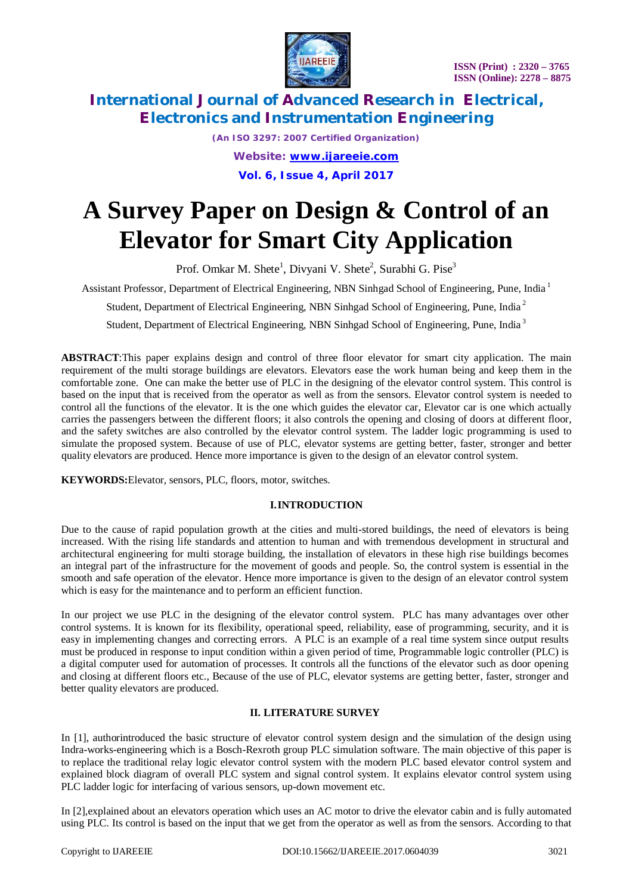



*(An ISO 3297: 2007 Certified Organization) Website: [www.ijareeie.com](http://www.ijareeie.com)* **Vol. 6, Issue 4, April 2017**

# **A Survey Paper on Design & Control of an Elevator for Smart City Application**

Prof. Omkar M. Shete<sup>1</sup>, Divyani V. Shete<sup>2</sup>, Surabhi G. Pise<sup>3</sup>

Assistant Professor, Department of Electrical Engineering, NBN Sinhgad School of Engineering, Pune, India<sup>1</sup>

Student, Department of Electrical Engineering, NBN Sinhgad School of Engineering, Pune, India <sup>2</sup>

Student, Department of Electrical Engineering, NBN Sinhgad School of Engineering, Pune, India <sup>3</sup>

**ABSTRACT**:This paper explains design and control of three floor elevator for smart city application. The main requirement of the multi storage buildings are elevators. Elevators ease the work human being and keep them in the comfortable zone. One can make the better use of PLC in the designing of the elevator control system. This control is based on the input that is received from the operator as well as from the sensors. Elevator control system is needed to control all the functions of the elevator. It is the one which guides the elevator car, Elevator car is one which actually carries the passengers between the different floors; it also controls the opening and closing of doors at different floor, and the safety switches are also controlled by the elevator control system. The ladder logic programming is used to simulate the proposed system. Because of use of PLC, elevator systems are getting better, faster, stronger and better quality elevators are produced. Hence more importance is given to the design of an elevator control system.

**KEYWORDS:**Elevator, sensors, PLC, floors, motor, switches.

### **I.INTRODUCTION**

Due to the cause of rapid population growth at the cities and multi-stored buildings, the need of elevators is being increased. With the rising life standards and attention to human and with tremendous development in structural and architectural engineering for multi storage building, the installation of elevators in these high rise buildings becomes an integral part of the infrastructure for the movement of goods and people. So, the control system is essential in the smooth and safe operation of the elevator. Hence more importance is given to the design of an elevator control system which is easy for the maintenance and to perform an efficient function.

In our project we use PLC in the designing of the elevator control system. PLC has many advantages over other control systems. It is known for its flexibility, operational speed, reliability, ease of programming, security, and it is easy in implementing changes and correcting errors. A PLC is an example of a real time system since output results must be produced in response to input condition within a given period of time, Programmable logic controller (PLC) is a digital computer used for automation of processes. It controls all the functions of the elevator such as door opening and closing at different floors etc., Because of the use of PLC, elevator systems are getting better, faster, stronger and better quality elevators are produced.

### **II. LITERATURE SURVEY**

In [1], authorintroduced the basic structure of elevator control system design and the simulation of the design using Indra-works-engineering which is a Bosch-Rexroth group PLC simulation software. The main objective of this paper is to replace the traditional relay logic elevator control system with the modern PLC based elevator control system and explained block diagram of overall PLC system and signal control system. It explains elevator control system using PLC ladder logic for interfacing of various sensors, up-down movement etc.

In [2],explained about an elevators operation which uses an AC motor to drive the elevator cabin and is fully automated using PLC. Its control is based on the input that we get from the operator as well as from the sensors. According to that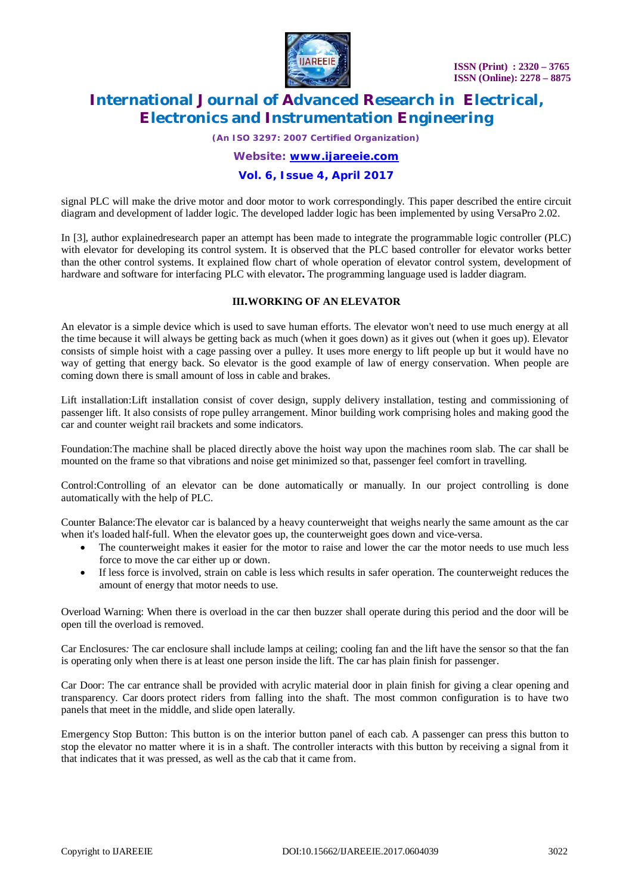

*(An ISO 3297: 2007 Certified Organization)*

*Website: [www.ijareeie.com](http://www.ijareeie.com)*

### **Vol. 6, Issue 4, April 2017**

signal PLC will make the drive motor and door motor to work correspondingly. This paper described the entire circuit diagram and development of ladder logic. The developed ladder logic has been implemented by using VersaPro 2.02.

In [3], author explainedresearch paper an attempt has been made to integrate the programmable logic controller (PLC) with elevator for developing its control system. It is observed that the PLC based controller for elevator works better than the other control systems. It explained flow chart of whole operation of elevator control system, development of hardware and software for interfacing PLC with elevator**.** The programming language used is ladder diagram.

### **III.WORKING OF AN ELEVATOR**

An elevator is a simple device which is used to save human efforts. The elevator won't need to use much energy at all the time because it will always be getting back as much (when it goes down) as it gives out (when it goes up). Elevator consists of simple hoist with a cage passing over a pulley. It uses more energy to lift people up but it would have no way of getting that energy back. So elevator is the good example of law of energy conservation. When people are coming down there is small amount of loss in cable and brakes.

Lift installation:Lift installation consist of cover design, supply delivery installation, testing and commissioning of passenger lift. It also consists of rope pulley arrangement. Minor building work comprising holes and making good the car and counter weight rail brackets and some indicators.

Foundation:The machine shall be placed directly above the hoist way upon the machines room slab. The car shall be mounted on the frame so that vibrations and noise get minimized so that, passenger feel comfort in travelling.

Control:Controlling of an elevator can be done automatically or manually. In our project controlling is done automatically with the help of PLC.

Counter Balance:The elevator car is balanced by a heavy counterweight that weighs nearly the same amount as the car when it's loaded half-full. When the elevator goes up, the counterweight goes down and vice-versa.

- The counterweight makes it easier for the motor to raise and lower the car the motor needs to use much less force to move the car either up or down.
- If less force is involved, strain on cable is less which results in safer operation. The counterweight reduces the amount of energy that motor needs to use.

Overload Warning: When there is overload in the car then buzzer shall operate during this period and the door will be open till the overload is removed.

Car Enclosures*:* The car enclosure shall include lamps at ceiling; cooling fan and the lift have the sensor so that the fan is operating only when there is at least one person inside the lift. The car has plain finish for passenger.

Car Door: The car entrance shall be provided with acrylic material door in plain finish for giving a clear opening and transparency. Car doors protect riders from falling into the shaft. The most common configuration is to have two panels that meet in the middle, and slide open laterally.

Emergency Stop Button: This button is on the interior button panel of each cab. A passenger can press this button to stop the elevator no matter where it is in a shaft. The controller interacts with this button by receiving a signal from it that indicates that it was pressed, as well as the cab that it came from.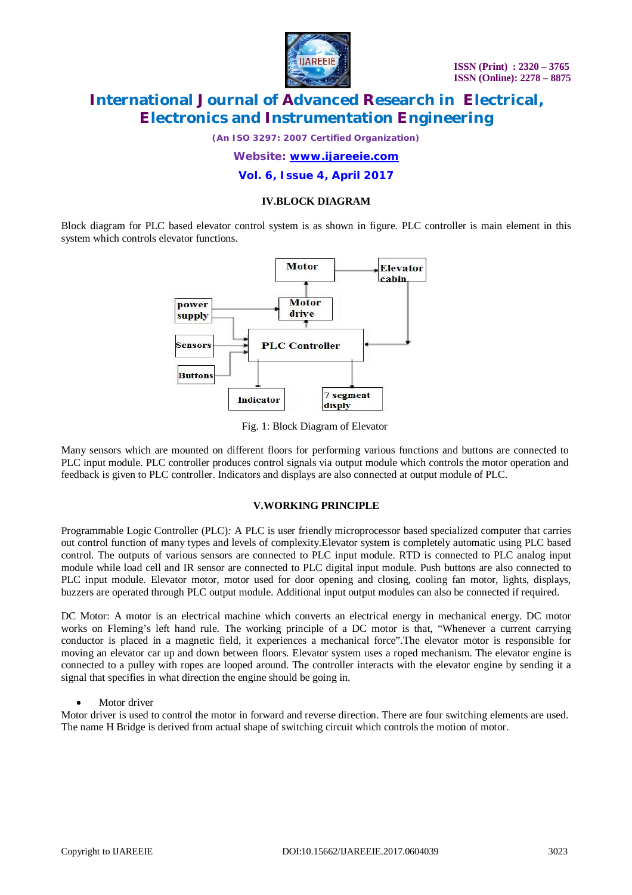

*(An ISO 3297: 2007 Certified Organization)*

*Website: [www.ijareeie.com](http://www.ijareeie.com)*

**Vol. 6, Issue 4, April 2017**

### **IV.BLOCK DIAGRAM**

Block diagram for PLC based elevator control system is as shown in figure. PLC controller is main element in this system which controls elevator functions.



Fig. 1: Block Diagram of Elevator

Many sensors which are mounted on different floors for performing various functions and buttons are connected to PLC input module. PLC controller produces control signals via output module which controls the motor operation and feedback is given to PLC controller. Indicators and displays are also connected at output module of PLC.

#### **V.WORKING PRINCIPLE**

Programmable Logic Controller (PLC)*:* A PLC is user friendly microprocessor based specialized computer that carries out control function of many types and levels of complexity.Elevator system is completely automatic using PLC based control. The outputs of various sensors are connected to PLC input module. RTD is connected to PLC analog input module while load cell and IR sensor are connected to PLC digital input module. Push buttons are also connected to PLC input module. Elevator motor, motor used for door opening and closing, cooling fan motor, lights, displays, buzzers are operated through PLC output module. Additional input output modules can also be connected if required.

DC Motor: A motor is an electrical machine which converts an electrical energy in mechanical energy. DC motor works on Fleming's left hand rule. The working principle of a DC motor is that, "Whenever a current carrying conductor is placed in a magnetic field, it experiences a mechanical force".The elevator motor is responsible for moving an elevator car up and down between floors. Elevator system uses a roped mechanism. The elevator engine is connected to a pulley with ropes are looped around. The controller interacts with the elevator engine by sending it a signal that specifies in what direction the engine should be going in.

Motor driver

Motor driver is used to control the motor in forward and reverse direction. There are four switching elements are used. The name H Bridge is derived from actual shape of switching circuit which controls the motion of motor.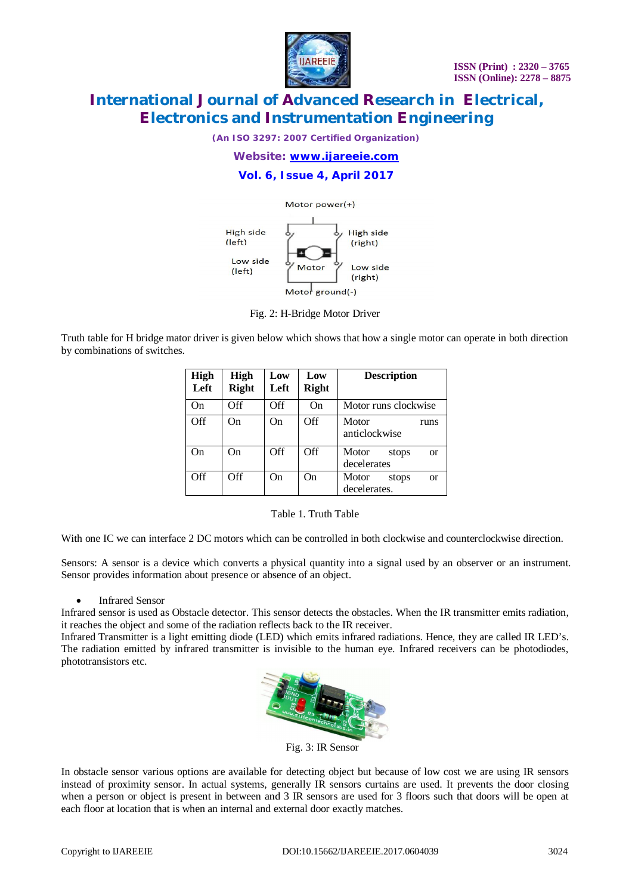

*(An ISO 3297: 2007 Certified Organization)*

*Website: [www.ijareeie.com](http://www.ijareeie.com)*

### **Vol. 6, Issue 4, April 2017**

Motor power $(+)$ 



Fig. 2: H-Bridge Motor Driver

Truth table for H bridge mator driver is given below which shows that how a single motor can operate in both direction by combinations of switches.

| High<br>Left | High<br><b>Right</b> | Low<br>Left | Low<br><b>Right</b> | <b>Description</b>                         |
|--------------|----------------------|-------------|---------------------|--------------------------------------------|
| On           | Off                  | Off         | <b>On</b>           | Motor runs clockwise                       |
| Off          | On.                  | On.         | Off                 | Motor<br>runs<br>anticlockwise             |
| On           | On.                  | Off         | Off                 | Motor<br>stops<br>$\alpha$<br>decelerates  |
| Off          | Off                  | On.         | On.                 | Motor<br>stops<br>$\alpha$<br>decelerates. |

| Table 1. Truth Table |  |
|----------------------|--|
|----------------------|--|

With one IC we can interface 2 DC motors which can be controlled in both clockwise and counterclockwise direction.

Sensors: A sensor is a device which converts a physical quantity into a signal used by an observer or an instrument. Sensor provides information about presence or absence of an object.

#### Infrared Sensor

Infrared sensor is used as Obstacle detector. This sensor detects the obstacles. When the IR transmitter emits radiation, it reaches the object and some of the radiation reflects back to the IR receiver.

Infrared Transmitter is a light emitting diode (LED) which emits infrared radiations. Hence, they are called IR LED's. The radiation emitted by infrared transmitter is invisible to the human eye. Infrared receivers can be photodiodes, phototransistors etc.



Fig. 3: IR Sensor

In obstacle sensor various options are available for detecting object but because of low cost we are using IR sensors instead of proximity sensor. In actual systems, generally IR sensors curtains are used. It prevents the door closing when a person or object is present in between and 3 IR sensors are used for 3 floors such that doors will be open at each floor at location that is when an internal and external door exactly matches.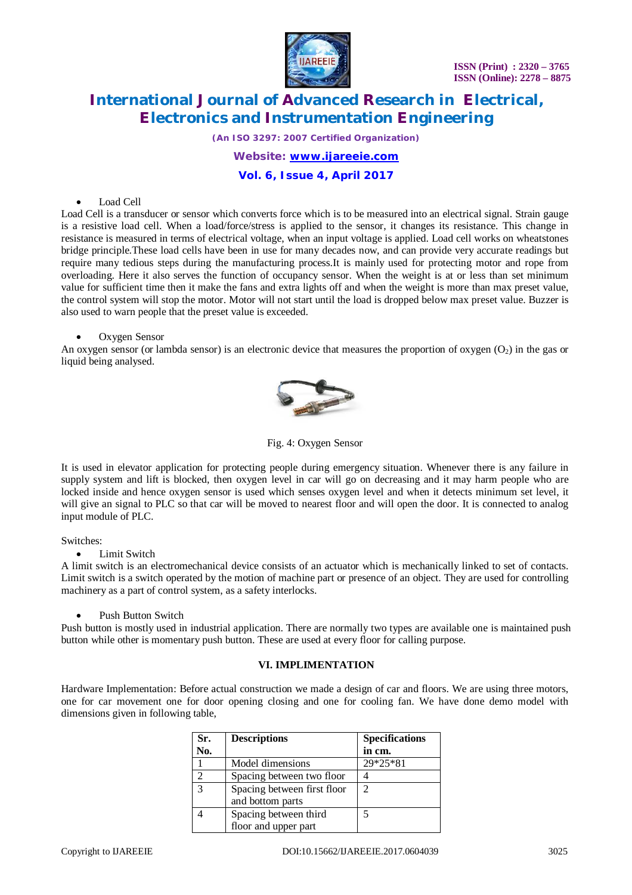

*(An ISO 3297: 2007 Certified Organization)*

*Website: [www.ijareeie.com](http://www.ijareeie.com)*

### **Vol. 6, Issue 4, April 2017**

#### Load Cell

Load Cell is a transducer or sensor which converts force which is to be measured into an electrical signal. Strain gauge is a resistive load cell. When a load/force/stress is applied to the sensor, it changes its resistance. This change in resistance is measured in terms of electrical voltage, when an input voltage is applied. Load cell works on wheatstones bridge principle.These load cells have been in use for many decades now, and can provide very accurate readings but require many tedious steps during the manufacturing process.It is mainly used for protecting motor and rope from overloading. Here it also serves the function of occupancy sensor. When the weight is at or less than set minimum value for sufficient time then it make the fans and extra lights off and when the weight is more than max preset value, the control system will stop the motor. Motor will not start until the load is dropped below max preset value. Buzzer is also used to warn people that the preset value is exceeded.

#### Oxygen Sensor

An oxygen sensor (or lambda sensor) is an electronic device that measures the proportion of oxygen  $(O_2)$  in the gas or liquid being analysed.



Fig. 4: Oxygen Sensor

It is used in elevator application for protecting people during emergency situation. Whenever there is any failure in supply system and lift is blocked, then oxygen level in car will go on decreasing and it may harm people who are locked inside and hence oxygen sensor is used which senses oxygen level and when it detects minimum set level, it will give an signal to PLC so that car will be moved to nearest floor and will open the door. It is connected to analog input module of PLC.

#### Switches:

• Limit Switch

A limit switch is an electromechanical device consists of an actuator which is mechanically linked to set of contacts. Limit switch is a switch operated by the motion of machine part or presence of an object. They are used for controlling machinery as a part of control system, as a safety interlocks.

#### Push Button Switch

Push button is mostly used in industrial application. There are normally two types are available one is maintained push button while other is momentary push button. These are used at every floor for calling purpose.

#### **VI. IMPLIMENTATION**

Hardware Implementation: Before actual construction we made a design of car and floors. We are using three motors, one for car movement one for door opening closing and one for cooling fan. We have done demo model with dimensions given in following table,

| Sr.<br>No.    | <b>Descriptions</b>                             | <b>Specifications</b><br>in cm. |
|---------------|-------------------------------------------------|---------------------------------|
|               | Model dimensions                                | 29*25*81                        |
| ◠             | Spacing between two floor                       |                                 |
| $\mathcal{R}$ | Spacing between first floor<br>and bottom parts | 2                               |
|               | Spacing between third<br>floor and upper part   |                                 |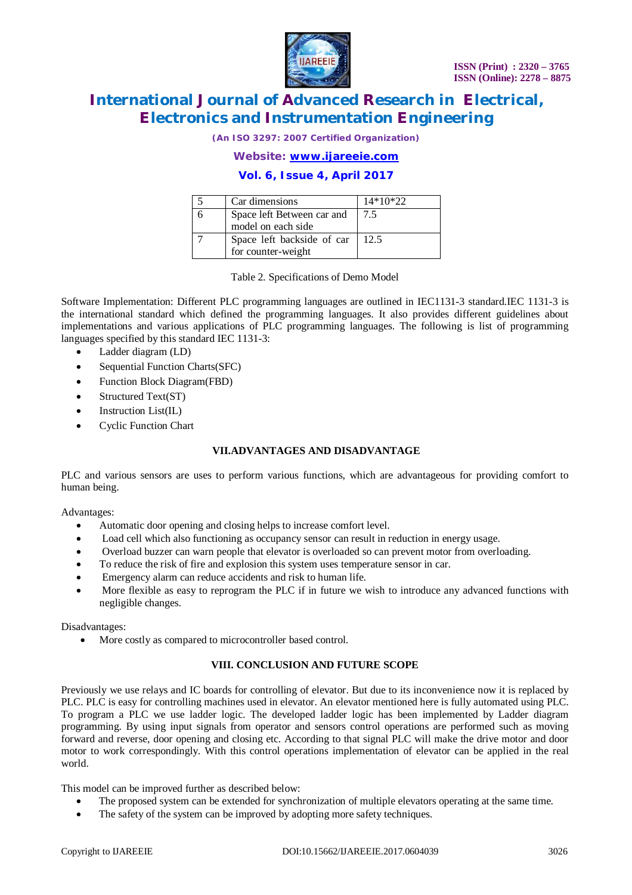

*(An ISO 3297: 2007 Certified Organization)*

*Website: [www.ijareeie.com](http://www.ijareeie.com)*

### **Vol. 6, Issue 4, April 2017**

| Car dimensions                                   | $14*10*22$ |
|--------------------------------------------------|------------|
| Space left Between car and<br>model on each side | 7.5        |
| Space left backside of car<br>for counter-weight | 12.5       |

Table 2. Specifications of Demo Model

Software Implementation: Different PLC programming languages are outlined in IEC1131-3 standard.IEC 1131-3 is the international standard which defined the programming languages. It also provides different guidelines about implementations and various applications of PLC programming languages. The following is list of programming languages specified by this standard IEC 1131-3:

- Ladder diagram (LD)
- Sequential Function Charts(SFC)
- Function Block Diagram(FBD)
- Structured Text(ST)
- Instruction List(IL)
- Cyclic Function Chart

#### **VII.ADVANTAGES AND DISADVANTAGE**

PLC and various sensors are uses to perform various functions, which are advantageous for providing comfort to human being.

Advantages:

- Automatic door opening and closing helps to increase comfort level.
- Load cell which also functioning as occupancy sensor can result in reduction in energy usage.
- Overload buzzer can warn people that elevator is overloaded so can prevent motor from overloading.
- To reduce the risk of fire and explosion this system uses temperature sensor in car.
- Emergency alarm can reduce accidents and risk to human life.
- More flexible as easy to reprogram the PLC if in future we wish to introduce any advanced functions with negligible changes.

Disadvantages:

More costly as compared to microcontroller based control.

#### **VIII. CONCLUSION AND FUTURE SCOPE**

Previously we use relays and IC boards for controlling of elevator. But due to its inconvenience now it is replaced by PLC. PLC is easy for controlling machines used in elevator. An elevator mentioned here is fully automated using PLC. To program a PLC we use ladder logic. The developed ladder logic has been implemented by Ladder diagram programming. By using input signals from operator and sensors control operations are performed such as moving forward and reverse, door opening and closing etc. According to that signal PLC will make the drive motor and door motor to work correspondingly. With this control operations implementation of elevator can be applied in the real world.

This model can be improved further as described below:

- The proposed system can be extended for synchronization of multiple elevators operating at the same time.
- The safety of the system can be improved by adopting more safety techniques.